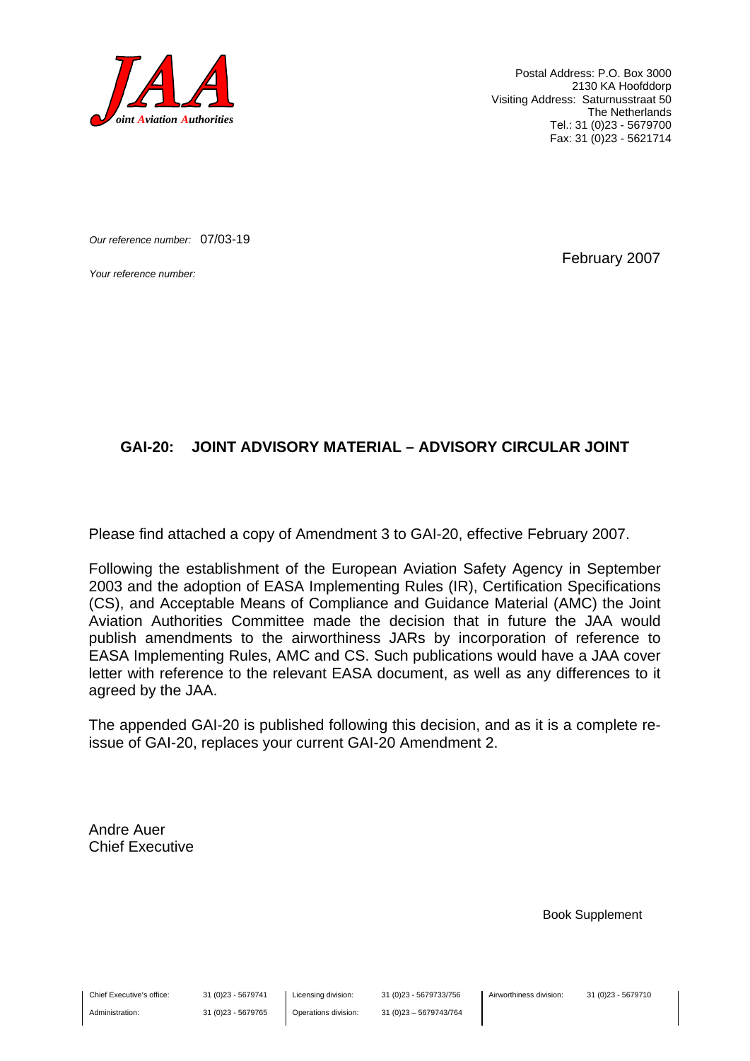

Postal Address: P.O. Box 3000 2130 KA Hoofddorp Visiting Address: Saturnusstraat 50 The Netherlands Tel.: 31 (0)23 - 5679700 Fax: 31 (0)23 - 5621714

*Our reference number:* 07/03-19

*Your reference number:* February 2007

#### **GAI-20: JOINT ADVISORY MATERIAL – ADVISORY CIRCULAR JOINT**

Please find attached a copy of Amendment 3 to GAI-20, effective February 2007.

Following the establishment of the European Aviation Safety Agency in September 2003 and the adoption of EASA Implementing Rules (IR), Certification Specifications (CS), and Acceptable Means of Compliance and Guidance Material (AMC) the Joint Aviation Authorities Committee made the decision that in future the JAA would publish amendments to the airworthiness JARs by incorporation of reference to EASA Implementing Rules, AMC and CS. Such publications would have a JAA cover letter with reference to the relevant EASA document, as well as any differences to it agreed by the JAA.

The appended GAI-20 is published following this decision, and as it is a complete reissue of GAI-20, replaces your current GAI-20 Amendment 2.

Andre Auer Chief Executive

Book Supplement

Chief Executive's office:

Administration:

31 (0)23 - 5679741 31 (0)23 - 5679765 Licensing division: Operations division: 31 (0)23 - 5679733/756 31 (0)23 – 5679743/764 Airworthiness division: 31 (0)23 - 5679710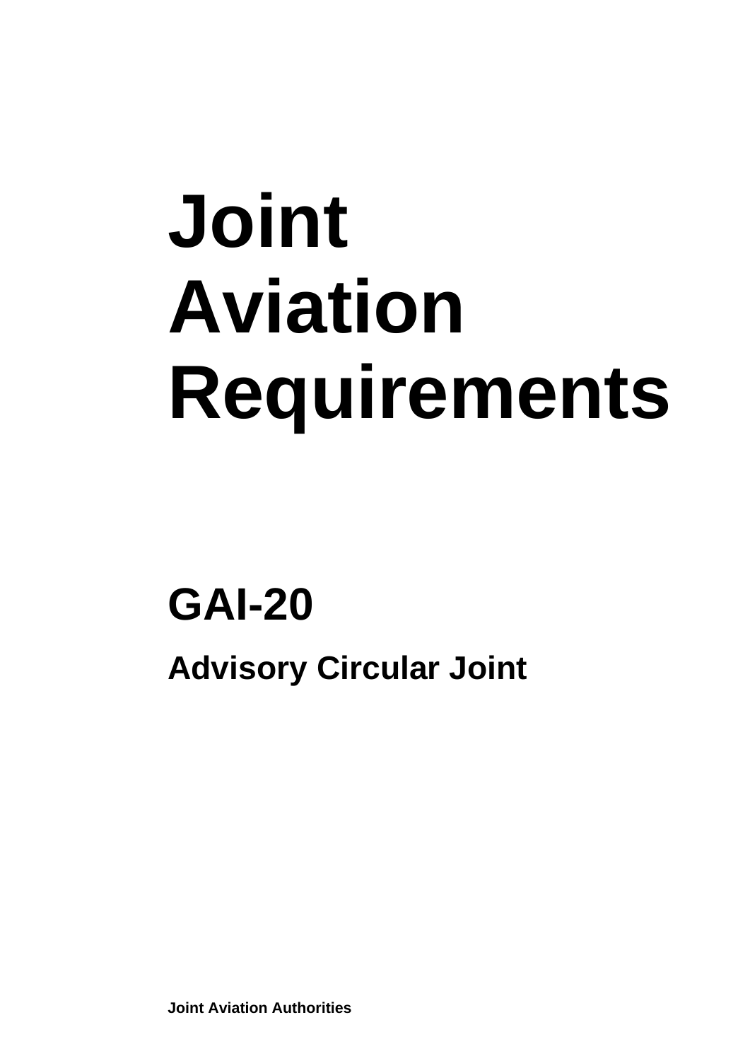# **Joint Aviation Requirements**

### **GAI-20 Advisory Circular Joint**

**Joint Aviation Authorities**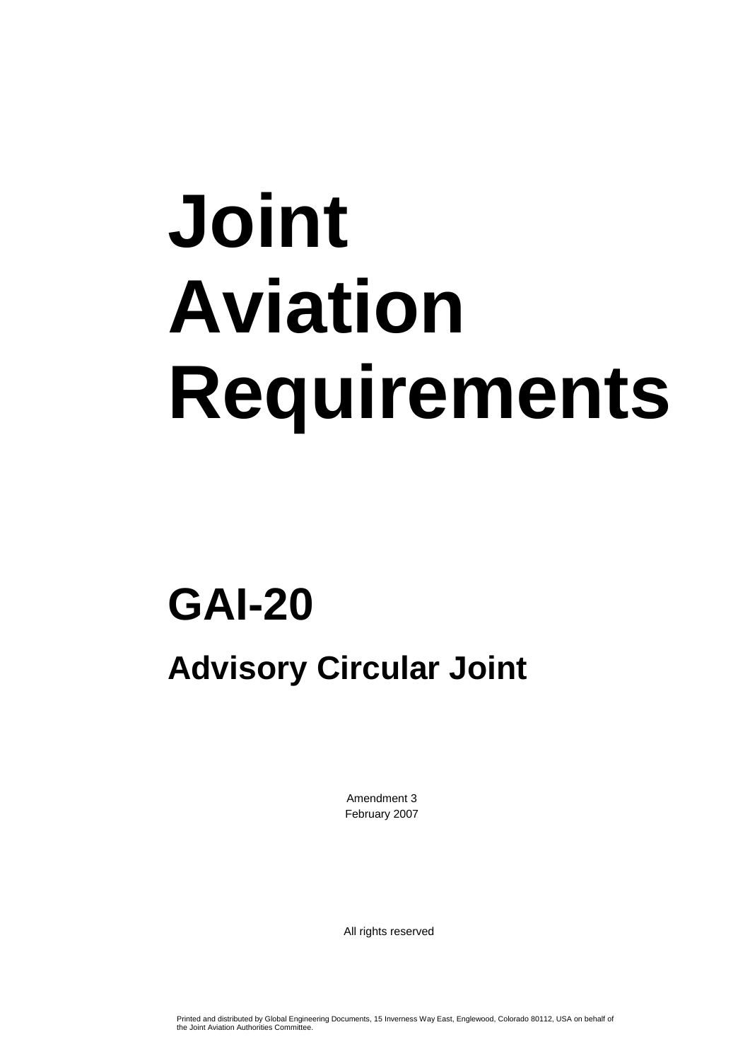# **Joint Aviation Requirements**

### **GAI-20 Advisory Circular Joint**

Amendment 3 February 2007

All rights reserved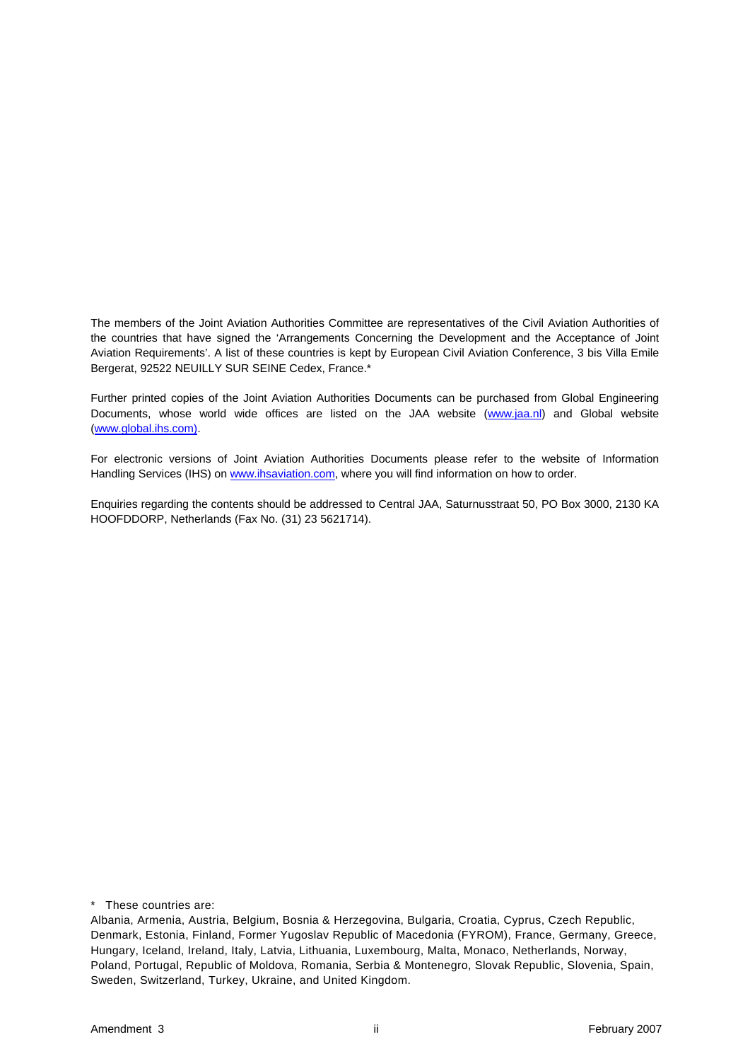The members of the Joint Aviation Authorities Committee are representatives of the Civil Aviation Authorities of the countries that have signed the 'Arrangements Concerning the Development and the Acceptance of Joint Aviation Requirements'. A list of these countries is kept by European Civil Aviation Conference, 3 bis Villa Emile Bergerat, 92522 NEUILLY SUR SEINE Cedex, France.\*

Further printed copies of the Joint Aviation Authorities Documents can be purchased from Global Engineering Documents, whose world wide offices are listed on the JAA website [\(www.jaa.nl](http://www.jaa.nl/)) and Global website ([www.global.ihs.com\).](http://www.global.ihs.com/)

For electronic versions of Joint Aviation Authorities Documents please refer to the website of Information Handling Services (IHS) on [www.ihsaviation.com](http://www.ihsaviation.com/), where you will find information on how to order.

Enquiries regarding the contents should be addressed to Central JAA, Saturnusstraat 50, PO Box 3000, 2130 KA HOOFDDORP, Netherlands (Fax No. (31) 23 5621714).

\* These countries are:

Albania, Armenia, Austria, Belgium, Bosnia & Herzegovina, Bulgaria, Croatia, Cyprus, Czech Republic, Denmark, Estonia, Finland, Former Yugoslav Republic of Macedonia (FYROM), France, Germany, Greece, Hungary, Iceland, Ireland, Italy, Latvia, Lithuania, Luxembourg, Malta, Monaco, Netherlands, Norway, Poland, Portugal, Republic of Moldova, Romania, Serbia & Montenegro, Slovak Republic, Slovenia, Spain, Sweden, Switzerland, Turkey, Ukraine, and United Kingdom.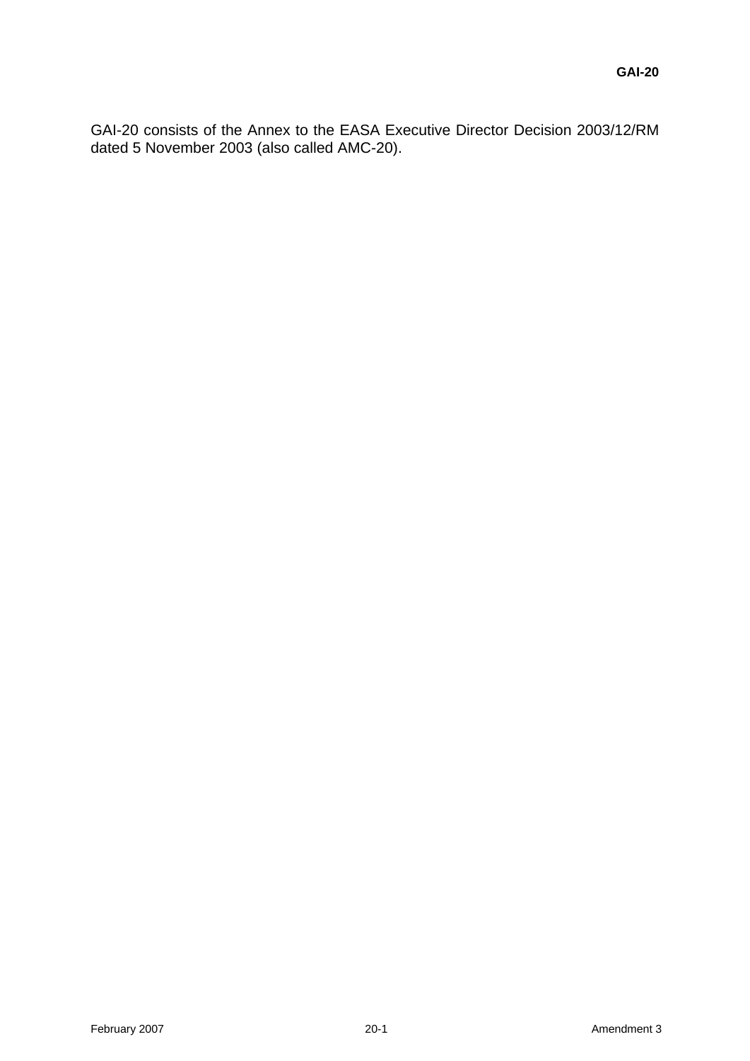GAI-20 consists of the Annex to the EASA Executive Director Decision 2003/12/RM dated 5 November 2003 (also called AMC-20).